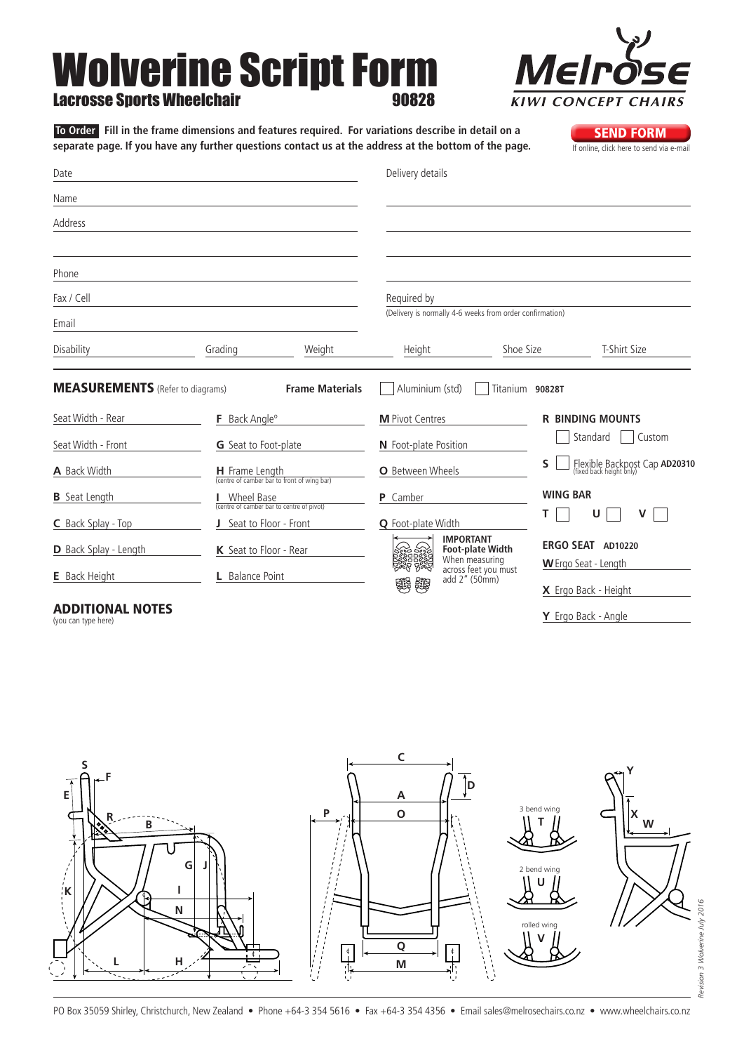## Wolverine Script Form Lacrosse Sports Wheelchair 90828

**To Order** Fill in the frame dimensions and features required. For variations describe in detail on a<br>**SEND FORM** separate page. If you have any further questions contact us at the address at the bottom of the page. separate page. If you have any further questions contact us at the address at the bottom of the page.

| Date                                                         |                           |                                                               | Delivery details                          |                                                          |                                           |
|--------------------------------------------------------------|---------------------------|---------------------------------------------------------------|-------------------------------------------|----------------------------------------------------------|-------------------------------------------|
| Name                                                         |                           |                                                               |                                           |                                                          |                                           |
| Address                                                      |                           |                                                               |                                           |                                                          |                                           |
| Phone                                                        |                           |                                                               |                                           |                                                          |                                           |
| Fax / Cell                                                   |                           |                                                               | Required by                               |                                                          |                                           |
| Email                                                        |                           |                                                               |                                           | (Delivery is normally 4-6 weeks from order confirmation) |                                           |
| Disability                                                   | Grading                   | Weight                                                        | Height                                    | Shoe Size                                                | T-Shirt Size                              |
| <b>MEASUREMENTS</b> (Refer to diagrams)<br>Seat Width - Rear | F Back Angle <sup>o</sup> | <b>Frame Materials</b>                                        | Aluminium (std)<br><b>M</b> Pivot Centres | Titanium 90828T                                          | <b>R BINDING MOUNTS</b>                   |
| Seat Width - Front                                           | G Seat to Foot-plate      |                                                               | N Foot-plate Position                     |                                                          | Standard<br>Custom                        |
| A Back Width                                                 |                           | H Frame Length<br>(centre of camber bar to front of wing bar) | <b>O</b> Between Wheels                   | $\mathsf{s}$                                             | Flexible Backpost Cap AD20310             |
| <b>B</b> Seat Length                                         | Wheel Base                | (centre of camber bar to centre of pivot)                     | <b>P</b> Camber                           | <b>WING BAR</b>                                          |                                           |
| C Back Splay - Top                                           | J Seat to Floor - Front   |                                                               | <b>Q</b> Foot-plate Width                 | т                                                        | U<br>v                                    |
| D Back Splay - Length                                        | K Seat to Floor - Rear    |                                                               | <b>IMPORTANT</b><br>sod bod               | <b>Foot-plate Width</b><br>When measuring                | ERGO SEAT AD10220<br>W Ergo Seat - Length |
| <b>E</b> Back Height                                         | L Balance Point           |                                                               | add 2" (50mm)<br><b>Septer</b><br>鹦       | across feet you must                                     | X Ergo Back - Height                      |

## Additional Notes

(you can type here)





**Y** Ergo Back - Angle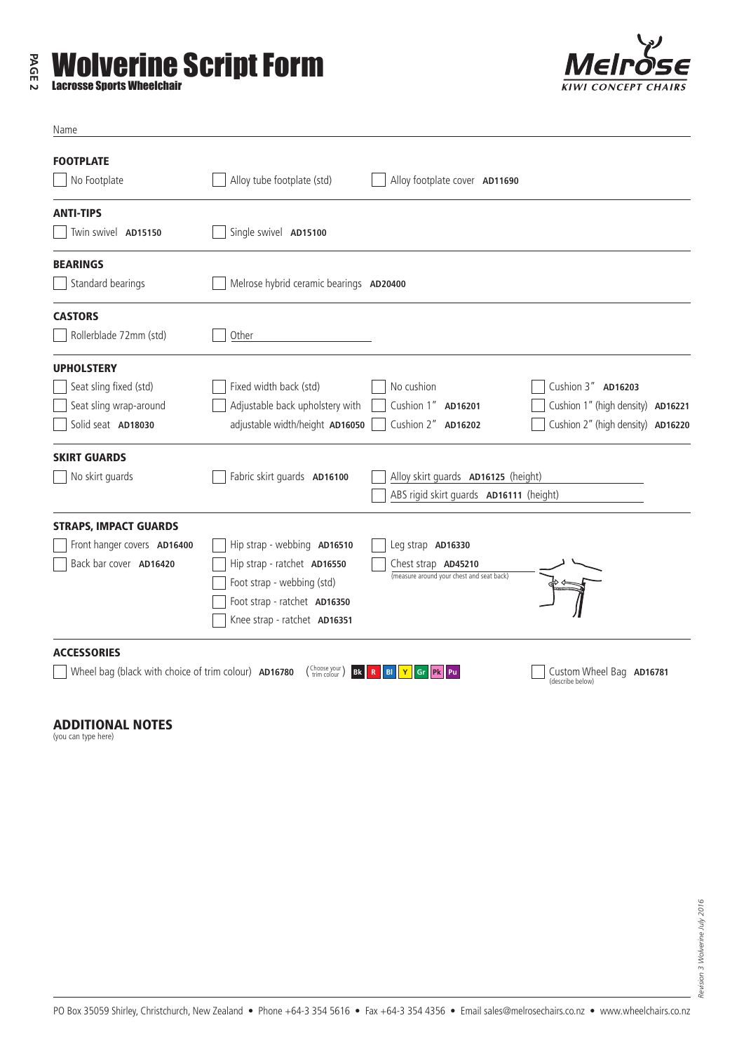## **PAGE 2 Wolverine Script Form**<br>Lacrosse Sports Wheelchair





| Name                                                 |                                         |                                           |                                              |  |
|------------------------------------------------------|-----------------------------------------|-------------------------------------------|----------------------------------------------|--|
| <b>FOOTPLATE</b><br>No Footplate                     | Alloy tube footplate (std)              | Alloy footplate cover AD11690             |                                              |  |
| <b>ANTI-TIPS</b>                                     |                                         |                                           |                                              |  |
| Twin swivel AD15150                                  | Single swivel AD15100                   |                                           |                                              |  |
| <b>BEARINGS</b>                                      |                                         |                                           |                                              |  |
| Standard bearings                                    | Melrose hybrid ceramic bearings AD20400 |                                           |                                              |  |
| <b>CASTORS</b>                                       |                                         |                                           |                                              |  |
| Rollerblade 72mm (std)                               | Other                                   |                                           |                                              |  |
| <b>UPHOLSTERY</b>                                    |                                         |                                           |                                              |  |
| Seat sling fixed (std)                               | Fixed width back (std)                  | No cushion                                | Cushion 3" AD16203                           |  |
| Seat sling wrap-around                               | Adjustable back upholstery with         | Cushion 1" AD16201                        | Cushion 1" (high density) AD16221            |  |
| Solid seat AD18030                                   | adjustable width/height AD16050         | Cushion 2" AD16202                        | Cushion 2" (high density) AD16220            |  |
| <b>SKIRT GUARDS</b>                                  |                                         |                                           |                                              |  |
| No skirt guards                                      | Fabric skirt guards AD16100             | Alloy skirt guards AD16125 (height)       |                                              |  |
|                                                      |                                         | ABS rigid skirt guards AD16111 (height)   |                                              |  |
| <b>STRAPS, IMPACT GUARDS</b>                         |                                         |                                           |                                              |  |
| Front hanger covers AD16400                          | Hip strap - webbing AD16510             | Leg strap AD16330                         |                                              |  |
| Back bar cover AD16420                               | Hip strap - ratchet AD16550             | Chest strap <b>AD45210</b>                |                                              |  |
|                                                      | Foot strap - webbing (std)              | (measure around your chest and seat back) |                                              |  |
|                                                      | Foot strap - ratchet AD16350            |                                           |                                              |  |
|                                                      | Knee strap - ratchet AD16351            |                                           |                                              |  |
| <b>ACCESSORIES</b>                                   |                                         |                                           |                                              |  |
| Wheel bag (black with choice of trim colour) AD16780 | (Choose your<br><b>Bk</b>               | BI<br>Gr<br><b>Pk</b><br>Pu               | Custom Wheel Bag AD16781<br>(describe below) |  |

Additional Notes

(you can type here)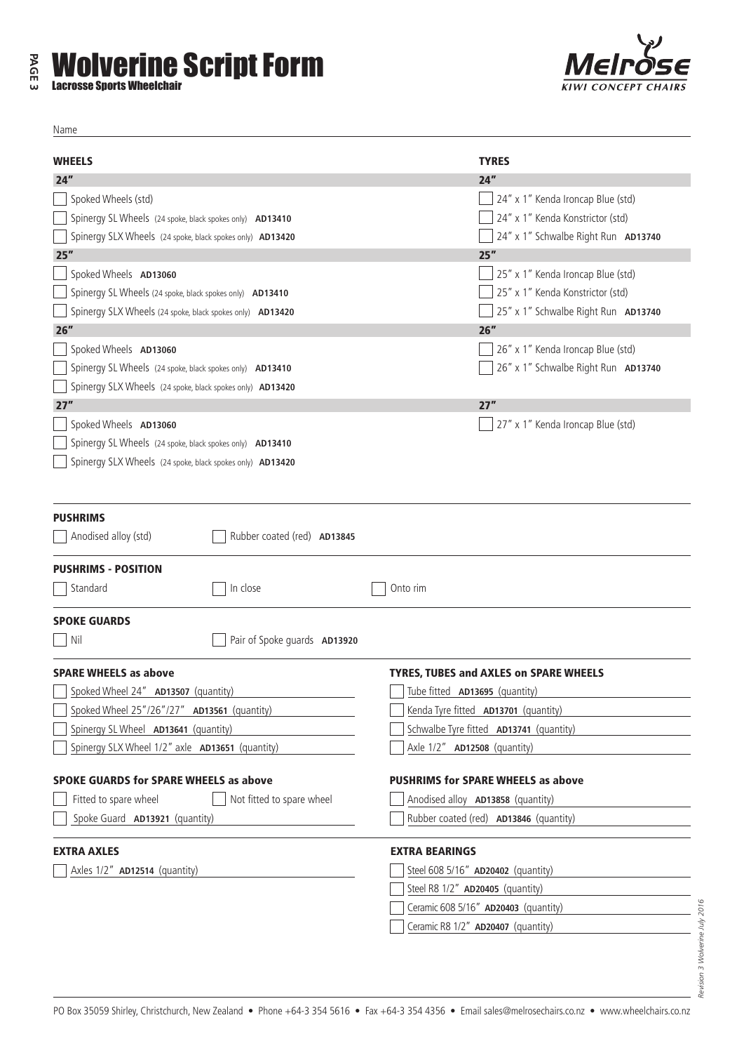

| Name                                                      |                                               |  |  |
|-----------------------------------------------------------|-----------------------------------------------|--|--|
|                                                           | <b>TYRES</b>                                  |  |  |
| <b>WHEELS</b><br>24"                                      | 24"                                           |  |  |
| Spoked Wheels (std)                                       | 24" x 1" Kenda Ironcap Blue (std)             |  |  |
| Spinergy SL Wheels (24 spoke, black spokes only) AD13410  | 24" x 1" Kenda Konstrictor (std)              |  |  |
| Spinergy SLX Wheels (24 spoke, black spokes only) AD13420 | 24" x 1" Schwalbe Right Run AD13740           |  |  |
| 25"                                                       | 25"                                           |  |  |
| Spoked Wheels AD13060                                     | 25" x 1" Kenda Ironcap Blue (std)             |  |  |
| Spinergy SL Wheels (24 spoke, black spokes only) AD13410  | 25" x 1" Kenda Konstrictor (std)              |  |  |
| Spinergy SLX Wheels (24 spoke, black spokes only) AD13420 | 25" x 1" Schwalbe Right Run AD13740           |  |  |
| 26"                                                       | 26"                                           |  |  |
| Spoked Wheels AD13060                                     | 26" x 1" Kenda Ironcap Blue (std)             |  |  |
| Spinergy SL Wheels (24 spoke, black spokes only) AD13410  | 26" x 1" Schwalbe Right Run AD13740           |  |  |
| Spinergy SLX Wheels (24 spoke, black spokes only) AD13420 |                                               |  |  |
| 27"                                                       | 27"                                           |  |  |
| Spoked Wheels AD13060                                     | 27" x 1" Kenda Ironcap Blue (std)             |  |  |
| Spinergy SL Wheels (24 spoke, black spokes only) AD13410  |                                               |  |  |
| Spinergy SLX Wheels (24 spoke, black spokes only) AD13420 |                                               |  |  |
|                                                           |                                               |  |  |
|                                                           |                                               |  |  |
| <b>PUSHRIMS</b>                                           |                                               |  |  |
| Rubber coated (red) AD13845<br>Anodised alloy (std)       |                                               |  |  |
|                                                           |                                               |  |  |
| <b>PUSHRIMS - POSITION</b>                                |                                               |  |  |
| In close<br>Standard                                      | Onto rim                                      |  |  |
| <b>SPOKE GUARDS</b>                                       |                                               |  |  |
|                                                           |                                               |  |  |
| Pair of Spoke guards AD13920<br>Nil                       |                                               |  |  |
| <b>SPARE WHEELS as above</b>                              | <b>TYRES, TUBES and AXLES on SPARE WHEELS</b> |  |  |
| Spoked Wheel 24" AD13507 (quantity)                       | Tube fitted AD13695 (quantity)                |  |  |
| Spoked Wheel 25"/26"/27" AD13561 (quantity)               | Kenda Tyre fitted AD13701 (quantity)          |  |  |
| Spinergy SL Wheel AD13641 (quantity)                      | Schwalbe Tyre fitted AD13741 (quantity)       |  |  |
| Spinergy SLX Wheel 1/2" axle <b>AD13651</b> (quantity)    | Axle 1/2" <b>AD12508</b> (quantity)           |  |  |
|                                                           |                                               |  |  |
| <b>SPOKE GUARDS for SPARE WHEELS as above</b>             | <b>PUSHRIMS for SPARE WHEELS as above</b>     |  |  |
| Fitted to spare wheel<br>Not fitted to spare wheel        | Anodised alloy AD13858 (quantity)             |  |  |
| Spoke Guard AD13921 (quantity)                            | Rubber coated (red) AD13846 (quantity)        |  |  |
|                                                           |                                               |  |  |
| <b>EXTRA AXLES</b>                                        | <b>EXTRA BEARINGS</b>                         |  |  |
| Axles 1/2" AD12514 (quantity)                             | Steel 608 5/16" AD20402 (quantity)            |  |  |
|                                                           | Steel R8 1/2" AD20405 (quantity)              |  |  |
|                                                           | Ceramic 608 5/16" AD20403 (quantity)          |  |  |
|                                                           | Ceramic R8 1/2" AD20407 (quantity)            |  |  |